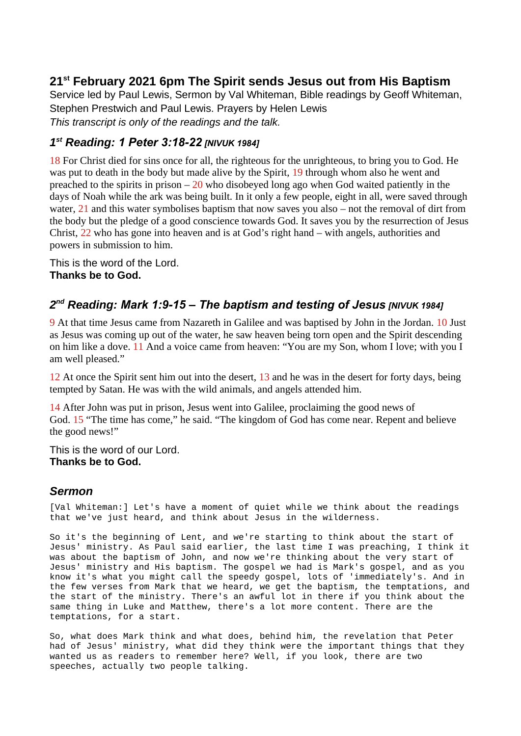## **21st February 2021 6pm The Spirit sends Jesus out from His Baptism**

Service led by Paul Lewis, Sermon by Val Whiteman, Bible readings by Geoff Whiteman, Stephen Prestwich and Paul Lewis. Prayers by Helen Lewis *This transcript is only of the readings and the talk.*

## *1 st Reading: 1 Peter 3:18-22 [NIVUK 1984]*

18 For Christ died for sins once for all, the righteous for the unrighteous, to bring you to God. He was put to death in the body but made alive by the Spirit, 19 through whom also he went and preached to the spirits in prison  $-20$  who disobeyed long ago when God waited patiently in the days of Noah while the ark was being built. In it only a few people, eight in all, were saved through water, 21 and this water symbolises baptism that now saves you also – not the removal of dirt from the body but the pledge of a good conscience towards God. It saves you by the resurrection of Jesus Christ, 22 who has gone into heaven and is at God's right hand – with angels, authorities and powers in submission to him.

This is the word of the Lord. **Thanks be to God.**

## *2 nd Reading: Mark 1:9-15 – The baptism and testing of Jesus [NIVUK 1984]*

9 At that time Jesus came from Nazareth in Galilee and was baptised by John in the Jordan. 10 Just as Jesus was coming up out of the water, he saw heaven being torn open and the Spirit descending on him like a dove. 11 And a voice came from heaven: "You are my Son, whom I love; with you I am well pleased."

12 At once the Spirit sent him out into the desert, 13 and he was in the desert for forty days, being tempted by Satan. He was with the wild animals, and angels attended him.

14 After John was put in prison, Jesus went into Galilee, proclaiming the good news of God. 15 "The time has come," he said. "The kingdom of God has come near. Repent and believe the good news!"

This is the word of our Lord. **Thanks be to God.**

## *Sermon*

[Val Whiteman:] Let's have a moment of quiet while we think about the readings that we've just heard, and think about Jesus in the wilderness.

So it's the beginning of Lent, and we're starting to think about the start of Jesus' ministry. As Paul said earlier, the last time I was preaching, I think it was about the baptism of John, and now we're thinking about the very start of Jesus' ministry and His baptism. The gospel we had is Mark's gospel, and as you know it's what you might call the speedy gospel, lots of 'immediately's. And in the few verses from Mark that we heard, we get the baptism, the temptations, and the start of the ministry. There's an awful lot in there if you think about the same thing in Luke and Matthew, there's a lot more content. There are the temptations, for a start.

So, what does Mark think and what does, behind him, the revelation that Peter had of Jesus' ministry, what did they think were the important things that they wanted us as readers to remember here? Well, if you look, there are two speeches, actually two people talking.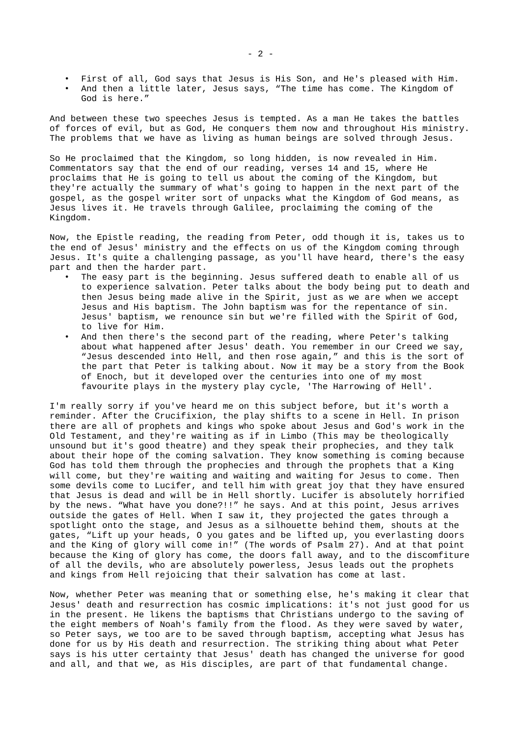- First of all, God says that Jesus is His Son, and He's pleased with Him.
- And then a little later, Jesus says, "The time has come. The Kingdom of God is here."

And between these two speeches Jesus is tempted. As a man He takes the battles of forces of evil, but as God, He conquers them now and throughout His ministry. The problems that we have as living as human beings are solved through Jesus.

So He proclaimed that the Kingdom, so long hidden, is now revealed in Him. Commentators say that the end of our reading, verses 14 and 15, where He proclaims that He is going to tell us about the coming of the Kingdom, but they're actually the summary of what's going to happen in the next part of the gospel, as the gospel writer sort of unpacks what the Kingdom of God means, as Jesus lives it. He travels through Galilee, proclaiming the coming of the Kingdom.

Now, the Epistle reading, the reading from Peter, odd though it is, takes us to the end of Jesus' ministry and the effects on us of the Kingdom coming through Jesus. It's quite a challenging passage, as you'll have heard, there's the easy part and then the harder part.

- The easy part is the beginning. Jesus suffered death to enable all of us to experience salvation. Peter talks about the body being put to death and then Jesus being made alive in the Spirit, just as we are when we accept Jesus and His baptism. The John baptism was for the repentance of sin. Jesus' baptism, we renounce sin but we're filled with the Spirit of God, to live for Him.
- And then there's the second part of the reading, where Peter's talking about what happened after Jesus' death. You remember in our Creed we say, "Jesus descended into Hell, and then rose again," and this is the sort of the part that Peter is talking about. Now it may be a story from the Book of Enoch, but it developed over the centuries into one of my most favourite plays in the mystery play cycle, 'The Harrowing of Hell'.

I'm really sorry if you've heard me on this subject before, but it's worth a reminder. After the Crucifixion, the play shifts to a scene in Hell. In prison there are all of prophets and kings who spoke about Jesus and God's work in the Old Testament, and they're waiting as if in Limbo (This may be theologically unsound but it's good theatre) and they speak their prophecies, and they talk about their hope of the coming salvation. They know something is coming because God has told them through the prophecies and through the prophets that a King will come, but they're waiting and waiting and waiting for Jesus to come. Then some devils come to Lucifer, and tell him with great joy that they have ensured that Jesus is dead and will be in Hell shortly. Lucifer is absolutely horrified by the news. "What have you done?!!" he says. And at this point, Jesus arrives outside the gates of Hell. When I saw it, they projected the gates through a spotlight onto the stage, and Jesus as a silhouette behind them, shouts at the gates, "Lift up your heads, O you gates and be lifted up, you everlasting doors and the King of glory will come in!" (The words of Psalm 27). And at that point because the King of glory has come, the doors fall away, and to the discomfiture of all the devils, who are absolutely powerless, Jesus leads out the prophets and kings from Hell rejoicing that their salvation has come at last.

Now, whether Peter was meaning that or something else, he's making it clear that Jesus' death and resurrection has cosmic implications: it's not just good for us in the present. He likens the baptisms that Christians undergo to the saving of the eight members of Noah's family from the flood. As they were saved by water, so Peter says, we too are to be saved through baptism, accepting what Jesus has done for us by His death and resurrection. The striking thing about what Peter says is his utter certainty that Jesus' death has changed the universe for good and all, and that we, as His disciples, are part of that fundamental change.